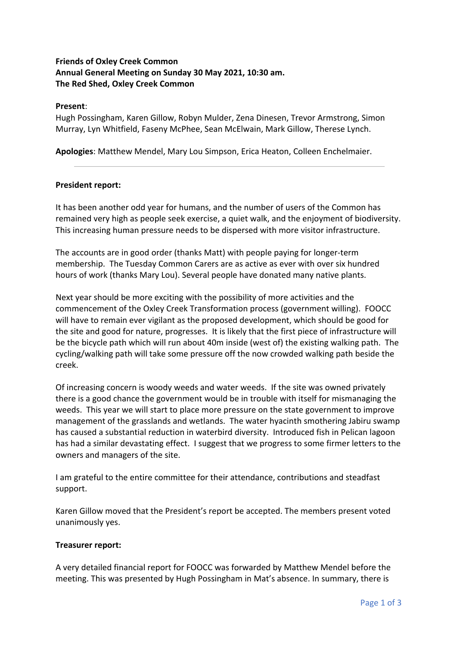#### **Friends of Oxley Creek Common Annual General Meeting on Sunday 30 May 2021, 10:30 am. The Red Shed, Oxley Creek Common**

#### **Present**:

Hugh Possingham, Karen Gillow, Robyn Mulder, Zena Dinesen, Trevor Armstrong, Simon Murray, Lyn Whitfield, Faseny McPhee, Sean McElwain, Mark Gillow, Therese Lynch.

**Apologies**: Matthew Mendel, Mary Lou Simpson, Erica Heaton, Colleen Enchelmaier.

#### **President report:**

It has been another odd year for humans, and the number of users of the Common has remained very high as people seek exercise, a quiet walk, and the enjoyment of biodiversity. This increasing human pressure needs to be dispersed with more visitor infrastructure.

The accounts are in good order (thanks Matt) with people paying for longer-term membership. The Tuesday Common Carers are as active as ever with over six hundred hours of work (thanks Mary Lou). Several people have donated many native plants.

Next year should be more exciting with the possibility of more activities and the commencement of the Oxley Creek Transformation process (government willing). FOOCC will have to remain ever vigilant as the proposed development, which should be good for the site and good for nature, progresses. It is likely that the first piece of infrastructure will be the bicycle path which will run about 40m inside (west of) the existing walking path. The cycling/walking path will take some pressure off the now crowded walking path beside the creek.

Of increasing concern is woody weeds and water weeds. If the site was owned privately there is a good chance the government would be in trouble with itself for mismanaging the weeds. This year we will start to place more pressure on the state government to improve management of the grasslands and wetlands. The water hyacinth smothering Jabiru swamp has caused a substantial reduction in waterbird diversity. Introduced fish in Pelican lagoon has had a similar devastating effect. I suggest that we progress to some firmer letters to the owners and managers of the site.

I am grateful to the entire committee for their attendance, contributions and steadfast support.

Karen Gillow moved that the President's report be accepted. The members present voted unanimously yes.

#### **Treasurer report:**

A very detailed financial report for FOOCC was forwarded by Matthew Mendel before the meeting. This was presented by Hugh Possingham in Mat's absence. In summary, there is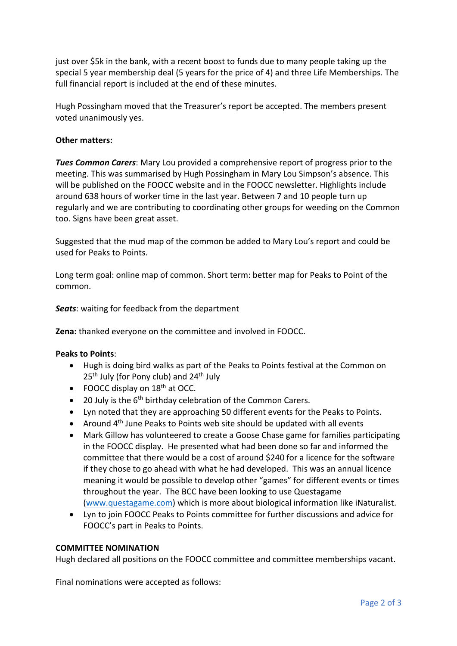just over \$5k in the bank, with a recent boost to funds due to many people taking up the special 5 year membership deal (5 years for the price of 4) and three Life Memberships. The full financial report is included at the end of these minutes.

Hugh Possingham moved that the Treasurer's report be accepted. The members present voted unanimously yes.

#### **Other matters:**

*Tues Common Carers*: Mary Lou provided a comprehensive report of progress prior to the meeting. This was summarised by Hugh Possingham in Mary Lou Simpson's absence. This will be published on the FOOCC website and in the FOOCC newsletter. Highlights include around 638 hours of worker time in the last year. Between 7 and 10 people turn up regularly and we are contributing to coordinating other groups for weeding on the Common too. Signs have been great asset.

Suggested that the mud map of the common be added to Mary Lou's report and could be used for Peaks to Points.

Long term goal: online map of common. Short term: better map for Peaks to Point of the common.

*Seats*: waiting for feedback from the department

**Zena:** thanked everyone on the committee and involved in FOOCC.

#### **Peaks to Points**:

- Hugh is doing bird walks as part of the Peaks to Points festival at the Common on  $25<sup>th</sup>$  July (for Pony club) and  $24<sup>th</sup>$  July
- FOOCC display on  $18<sup>th</sup>$  at OCC.
- 20 July is the 6<sup>th</sup> birthday celebration of the Common Carers.
- Lyn noted that they are approaching 50 different events for the Peaks to Points.
- Around 4<sup>th</sup> June Peaks to Points web site should be updated with all events
- Mark Gillow has volunteered to create a Goose Chase game for families participating in the FOOCC display. He presented what had been done so far and informed the committee that there would be a cost of around \$240 for a licence for the software if they chose to go ahead with what he had developed. This was an annual licence meaning it would be possible to develop other "games" for different events or times throughout the year. The BCC have been looking to use Questagame (www.questagame.com) which is more about biological information like iNaturalist.
- Lyn to join FOOCC Peaks to Points committee for further discussions and advice for FOOCC's part in Peaks to Points.

#### **COMMITTEE NOMINATION**

Hugh declared all positions on the FOOCC committee and committee memberships vacant.

Final nominations were accepted as follows: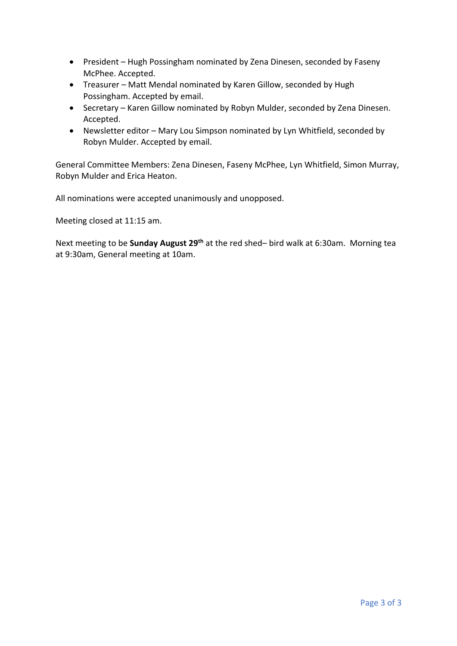- President Hugh Possingham nominated by Zena Dinesen, seconded by Faseny McPhee. Accepted.
- Treasurer Matt Mendal nominated by Karen Gillow, seconded by Hugh Possingham. Accepted by email.
- Secretary Karen Gillow nominated by Robyn Mulder, seconded by Zena Dinesen. Accepted.
- Newsletter editor Mary Lou Simpson nominated by Lyn Whitfield, seconded by Robyn Mulder. Accepted by email.

General Committee Members: Zena Dinesen, Faseny McPhee, Lyn Whitfield, Simon Murray, Robyn Mulder and Erica Heaton.

All nominations were accepted unanimously and unopposed.

Meeting closed at 11:15 am.

Next meeting to be **Sunday August 29th** at the red shed– bird walk at 6:30am. Morning tea at 9:30am, General meeting at 10am.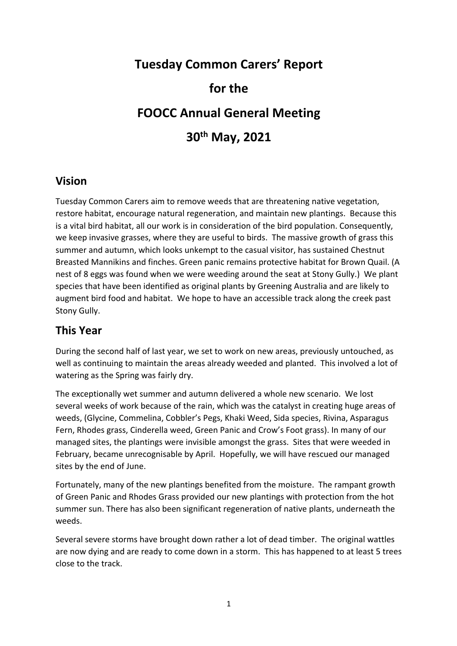# **Tuesday Common Carers' Report for the FOOCC Annual General Meeting 30th May, 2021**

## **Vision**

Tuesday Common Carers aim to remove weeds that are threatening native vegetation, restore habitat, encourage natural regeneration, and maintain new plantings. Because this is a vital bird habitat, all our work is in consideration of the bird population. Consequently, we keep invasive grasses, where they are useful to birds. The massive growth of grass this summer and autumn, which looks unkempt to the casual visitor, has sustained Chestnut Breasted Mannikins and finches. Green panic remains protective habitat for Brown Quail. (A nest of 8 eggs was found when we were weeding around the seat at Stony Gully.) We plant species that have been identified as original plants by Greening Australia and are likely to augment bird food and habitat. We hope to have an accessible track along the creek past Stony Gully.

# **This Year**

During the second half of last year, we set to work on new areas, previously untouched, as well as continuing to maintain the areas already weeded and planted. This involved a lot of watering as the Spring was fairly dry.

The exceptionally wet summer and autumn delivered a whole new scenario. We lost several weeks of work because of the rain, which was the catalyst in creating huge areas of weeds, (Glycine, Commelina, Cobbler's Pegs, Khaki Weed, Sida species, Rivina, Asparagus Fern, Rhodes grass, Cinderella weed, Green Panic and Crow's Foot grass). In many of our managed sites, the plantings were invisible amongst the grass. Sites that were weeded in February, became unrecognisable by April. Hopefully, we will have rescued our managed sites by the end of June.

Fortunately, many of the new plantings benefited from the moisture. The rampant growth of Green Panic and Rhodes Grass provided our new plantings with protection from the hot summer sun. There has also been significant regeneration of native plants, underneath the weeds.

Several severe storms have brought down rather a lot of dead timber. The original wattles are now dying and are ready to come down in a storm. This has happened to at least 5 trees close to the track.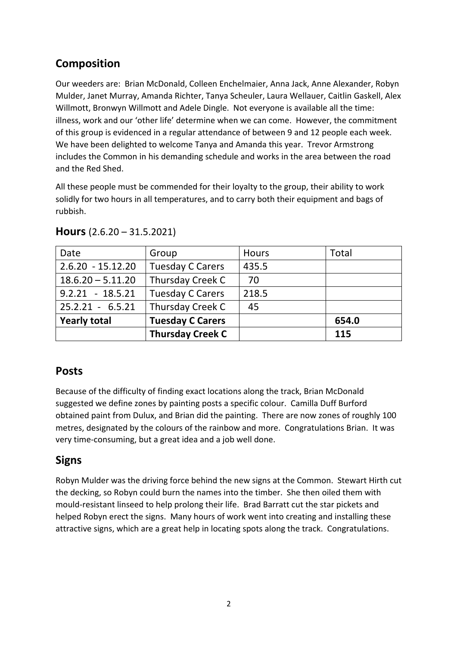# **Composition**

Our weeders are: Brian McDonald, Colleen Enchelmaier, Anna Jack, Anne Alexander, Robyn Mulder, Janet Murray, Amanda Richter, Tanya Scheuler, Laura Wellauer, Caitlin Gaskell, Alex Willmott, Bronwyn Willmott and Adele Dingle. Not everyone is available all the time: illness, work and our 'other life' determine when we can come. However, the commitment of this group is evidenced in a regular attendance of between 9 and 12 people each week. We have been delighted to welcome Tanya and Amanda this year. Trevor Armstrong includes the Common in his demanding schedule and works in the area between the road and the Red Shed.

All these people must be commended for their loyalty to the group, their ability to work solidly for two hours in all temperatures, and to carry both their equipment and bags of rubbish.

| Date                | Group                   | Hours | Total |
|---------------------|-------------------------|-------|-------|
| $2.6.20 - 15.12.20$ | <b>Tuesday C Carers</b> | 435.5 |       |
| $18.6.20 - 5.11.20$ | Thursday Creek C        | 70    |       |
| $9.2.21 - 18.5.21$  | <b>Tuesday C Carers</b> | 218.5 |       |
| $25.2.21 - 6.5.21$  | Thursday Creek C        | 45    |       |
| <b>Yearly total</b> | <b>Tuesday C Carers</b> |       | 654.0 |
|                     | <b>Thursday Creek C</b> |       | 115   |

|  | Hours $(2.6.20 - 31.5.2021)$ |
|--|------------------------------|
|--|------------------------------|

# **Posts**

Because of the difficulty of finding exact locations along the track, Brian McDonald suggested we define zones by painting posts a specific colour. Camilla Duff Burford obtained paint from Dulux, and Brian did the painting. There are now zones of roughly 100 metres, designated by the colours of the rainbow and more. Congratulations Brian. It was very time-consuming, but a great idea and a job well done.

# **Signs**

Robyn Mulder was the driving force behind the new signs at the Common. Stewart Hirth cut the decking, so Robyn could burn the names into the timber. She then oiled them with mould-resistant linseed to help prolong their life. Brad Barratt cut the star pickets and helped Robyn erect the signs. Many hours of work went into creating and installing these attractive signs, which are a great help in locating spots along the track. Congratulations.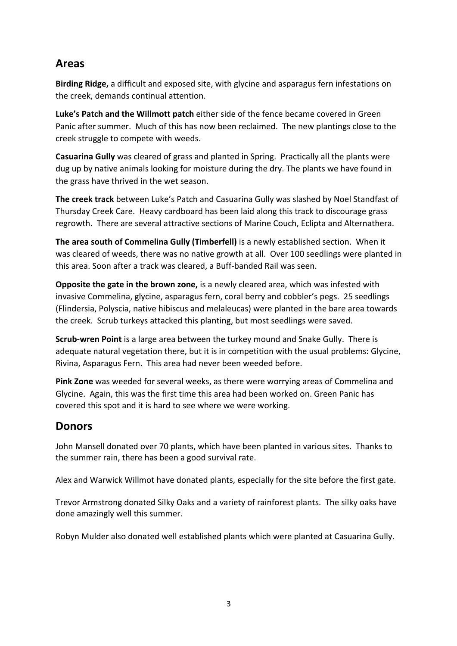# **Areas**

**Birding Ridge,** a difficult and exposed site, with glycine and asparagus fern infestations on the creek, demands continual attention.

**Luke's Patch and the Willmott patch** either side of the fence became covered in Green Panic after summer. Much of this has now been reclaimed. The new plantings close to the creek struggle to compete with weeds.

**Casuarina Gully** was cleared of grass and planted in Spring. Practically all the plants were dug up by native animals looking for moisture during the dry. The plants we have found in the grass have thrived in the wet season.

**The creek track** between Luke's Patch and Casuarina Gully was slashed by Noel Standfast of Thursday Creek Care. Heavy cardboard has been laid along this track to discourage grass regrowth. There are several attractive sections of Marine Couch, Eclipta and Alternathera.

**The area south of Commelina Gully (Timberfell)** is a newly established section. When it was cleared of weeds, there was no native growth at all. Over 100 seedlings were planted in this area. Soon after a track was cleared, a Buff-banded Rail was seen.

**Opposite the gate in the brown zone,** is a newly cleared area, which was infested with invasive Commelina, glycine, asparagus fern, coral berry and cobbler's pegs. 25 seedlings (Flindersia, Polyscia, native hibiscus and melaleucas) were planted in the bare area towards the creek. Scrub turkeys attacked this planting, but most seedlings were saved.

**Scrub-wren Point** is a large area between the turkey mound and Snake Gully. There is adequate natural vegetation there, but it is in competition with the usual problems: Glycine, Rivina, Asparagus Fern. This area had never been weeded before.

**Pink Zone** was weeded for several weeks, as there were worrying areas of Commelina and Glycine. Again, this was the first time this area had been worked on. Green Panic has covered this spot and it is hard to see where we were working.

# **Donors**

John Mansell donated over 70 plants, which have been planted in various sites. Thanks to the summer rain, there has been a good survival rate.

Alex and Warwick Willmot have donated plants, especially for the site before the first gate.

Trevor Armstrong donated Silky Oaks and a variety of rainforest plants. The silky oaks have done amazingly well this summer.

Robyn Mulder also donated well established plants which were planted at Casuarina Gully.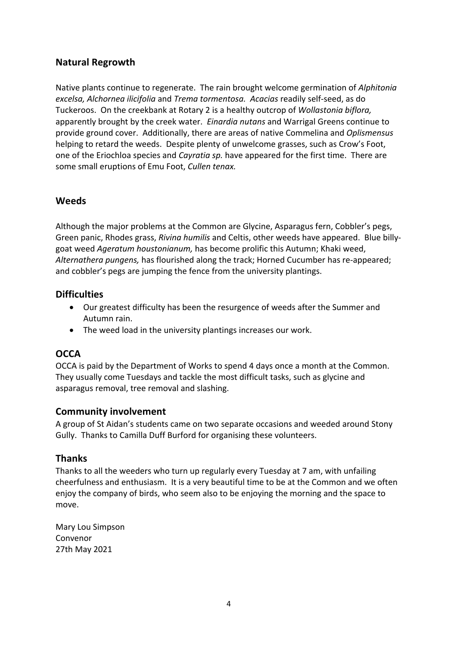## **Natural Regrowth**

Native plants continue to regenerate. The rain brought welcome germination of *Alphitonia excelsa, Alchornea ilicifolia* and *Trema tormentosa. Acacias* readily self-seed, as do Tuckeroos. On the creekbank at Rotary 2 is a healthy outcrop of *Wollastonia biflora,*  apparently brought by the creek water. *Einardia nutans* and Warrigal Greens continue to provide ground cover. Additionally, there are areas of native Commelina and *Oplismensus*  helping to retard the weeds. Despite plenty of unwelcome grasses, such as Crow's Foot, one of the Eriochloa species and *Cayratia sp.* have appeared for the first time. There are some small eruptions of Emu Foot, *Cullen tenax.*

## **Weeds**

Although the major problems at the Common are Glycine, Asparagus fern, Cobbler's pegs, Green panic, Rhodes grass, *Rivina humilis* and Celtis, other weeds have appeared. Blue billygoat weed *Ageratum houstonianum,* has become prolific this Autumn; Khaki weed, *Alternathera pungens,* has flourished along the track; Horned Cucumber has re-appeared; and cobbler's pegs are jumping the fence from the university plantings.

## **Difficulties**

- Our greatest difficulty has been the resurgence of weeds after the Summer and Autumn rain.
- The weed load in the university plantings increases our work.

## **OCCA**

OCCA is paid by the Department of Works to spend 4 days once a month at the Common. They usually come Tuesdays and tackle the most difficult tasks, such as glycine and asparagus removal, tree removal and slashing.

## **Community involvement**

A group of St Aidan's students came on two separate occasions and weeded around Stony Gully. Thanks to Camilla Duff Burford for organising these volunteers.

## **Thanks**

Thanks to all the weeders who turn up regularly every Tuesday at 7 am, with unfailing cheerfulness and enthusiasm. It is a very beautiful time to be at the Common and we often enjoy the company of birds, who seem also to be enjoying the morning and the space to move.

Mary Lou Simpson Convenor 27th May 2021